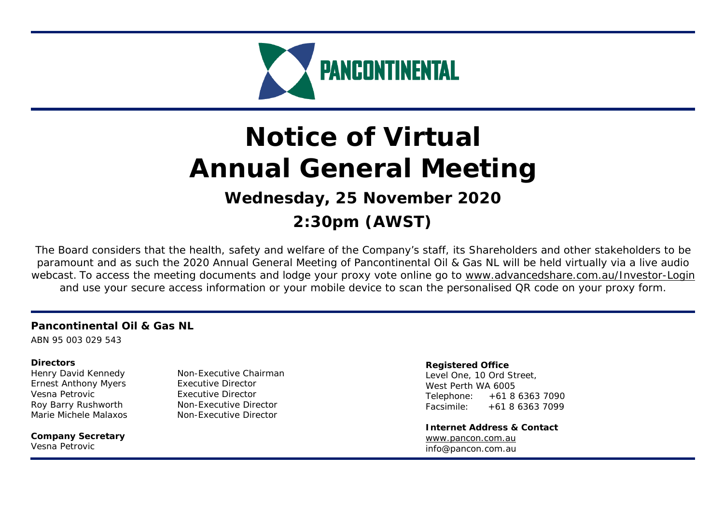

# **Notice of Virtual Annual General Meeting Wednesday, 25 November 2020**

**2:30pm (AWST)** 

The Board considers that the health, safety and welfare of the Company's staff, its Shareholders and other stakeholders to be paramount and as such the 2020 Annual General Meeting of Pancontinental Oil & Gas NL will be held virtually via a live audio webcast. To access the meeting documents and lodge your proxy vote online go to <u>www.advancedshare.com.au/Investor-Login</u> and use your secure access information or your mobile device to scan the personalised QR code on your proxy form.

## **Pancontinental Oil & Gas NL**

ABN 95 003 029 543

#### **Directors**

Ernest Anthony Myers Executive Director Vesna Petrovic **Executive Director** Marie Michele Malaxos Non-Executive Director

**Company Secretary**  Vesna Petrovic

Henry David Kennedy Non-Executive Chairman Roy Barry Rushworth Non-Executive Director

#### **Registered Office**

Level One, 10 Ord Street, West Perth WA 6005 Telephone: +61 8 6363 7090 Facsimile: +61 8 6363 7099

**Internet Address & Contact** www.pancon.com.au info@pancon.com.au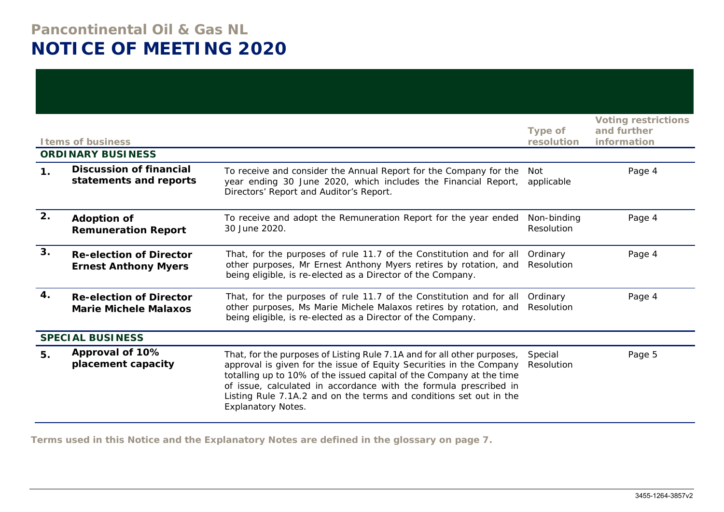## **Pancontinental Oil & Gas NL NOTICE OF MEETING 2020**

|               | <b>Items of business</b>                                       |                                                                                                                                                                                                                                                                                                                                                                                                | <b>Type of</b><br>resolution | <b>Voting restrictions</b><br>and further<br>information |
|---------------|----------------------------------------------------------------|------------------------------------------------------------------------------------------------------------------------------------------------------------------------------------------------------------------------------------------------------------------------------------------------------------------------------------------------------------------------------------------------|------------------------------|----------------------------------------------------------|
|               | <b>ORDINARY BUSINESS</b>                                       |                                                                                                                                                                                                                                                                                                                                                                                                |                              |                                                          |
| $\mathbf 1$ . | <b>Discussion of financial</b><br>statements and reports       | To receive and consider the Annual Report for the Company for the<br>year ending 30 June 2020, which includes the Financial Report,<br>Directors' Report and Auditor's Report.                                                                                                                                                                                                                 | Not<br>applicable            | Page 4                                                   |
| 2.            | <b>Adoption of</b><br><b>Remuneration Report</b>               | To receive and adopt the Remuneration Report for the year ended<br>30 June 2020.                                                                                                                                                                                                                                                                                                               | Non-binding<br>Resolution    | Page 4                                                   |
| 3.            | <b>Re-election of Director</b><br><b>Ernest Anthony Myers</b>  | That, for the purposes of rule 11.7 of the Constitution and for all<br>other purposes, Mr Ernest Anthony Myers retires by rotation, and<br>being eligible, is re-elected as a Director of the Company.                                                                                                                                                                                         | Ordinary<br>Resolution       | Page 4                                                   |
| 4.            | <b>Re-election of Director</b><br><b>Marie Michele Malaxos</b> | That, for the purposes of rule 11.7 of the Constitution and for all<br>other purposes, Ms Marie Michele Malaxos retires by rotation, and<br>being eligible, is re-elected as a Director of the Company.                                                                                                                                                                                        | Ordinary<br>Resolution       | Page 4                                                   |
|               | <b>SPECIAL BUSINESS</b>                                        |                                                                                                                                                                                                                                                                                                                                                                                                |                              |                                                          |
| 5.            | Approval of 10%<br>placement capacity                          | That, for the purposes of Listing Rule 7.1A and for all other purposes,<br>approval is given for the issue of Equity Securities in the Company<br>totalling up to 10% of the issued capital of the Company at the time<br>of issue, calculated in accordance with the formula prescribed in<br>Listing Rule 7.1A.2 and on the terms and conditions set out in the<br><b>Explanatory Notes.</b> | Special<br>Resolution        | Page 5                                                   |

**Terms used in this Notice and the Explanatory Notes are defined in the glossary on page 7.**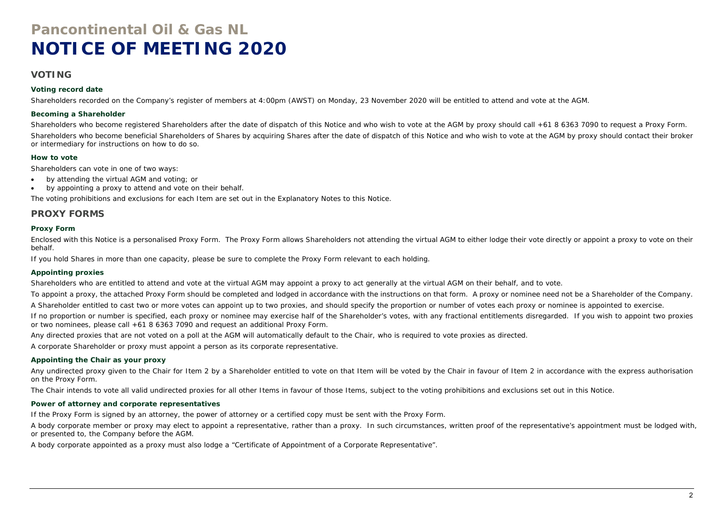## **Pancontinental Oil & Gas NL NOTICE OF MEETING 2020**

#### **VOTING**

#### **Voting record date**

Shareholders recorded on the Company's register of members at 4:00pm (AWST) on Monday, 23 November 2020 will be entitled to attend and vote at the AGM.

#### **Becoming a Shareholder**

Shareholders who become registered Shareholders after the date of dispatch of this Notice and who wish to vote at the AGM by proxy should call +61 8 6363 7090 to request a Proxy Form. Shareholders who become beneficial Shareholders of Shares by acquiring Shares after the date of dispatch of this Notice and who wish to vote at the AGM by proxy should contact their broker or intermediary for instructions on how to do so.

#### **How to vote**

Shareholders can vote in one of two ways:

- $\bullet$ by attending the virtual AGM and voting; or
- $\bullet$ by appointing a proxy to attend and vote on their behalf.

The voting prohibitions and exclusions for each Item are set out in the Explanatory Notes to this Notice.

#### **PROXY FORMS**

#### **Proxy Form**

Enclosed with this Notice is a personalised Proxy Form. The Proxy Form allows Shareholders not attending the virtual AGM to either lodge their vote directly or appoint a proxy to vote on their behalf.

If you hold Shares in more than one capacity, please be sure to complete the Proxy Form relevant to each holding.

#### **Appointing proxies**

Shareholders who are entitled to attend and vote at the virtual AGM may appoint a proxy to act generally at the virtual AGM on their behalf, and to vote.

To appoint a proxy, the attached Proxy Form should be completed and lodged in accordance with the instructions on that form. A proxy or nominee need not be a Shareholder of the Company.

A Shareholder entitled to cast two or more votes can appoint up to two proxies, and should specify the proportion or number of votes each proxy or nominee is appointed to exercise.

If no proportion or number is specified, each proxy or nominee may exercise half of the Shareholder's votes, with any fractional entitlements disregarded. If you wish to appoint two proxies or two nominees, please call +61 8 6363 7090 and request an additional Proxy Form.

Any directed proxies that are not voted on a poll at the AGM will automatically default to the Chair, who is required to vote proxies as directed.

A corporate Shareholder or proxy must appoint a person as its corporate representative.

#### **Appointing the Chair as your proxy**

Any undirected proxy given to the Chair for Item 2 by a Shareholder entitled to vote on that Item will be voted by the Chair in favour of Item 2 in accordance with the express authorisation on the Proxy Form.

The Chair intends to vote all valid undirected proxies for all other Items in favour of those Items, subject to the voting prohibitions and exclusions set out in this Notice.

#### **Power of attorney and corporate representatives**

If the Proxy Form is signed by an attorney, the power of attorney or a certified copy must be sent with the Proxy Form.

A body corporate member or proxy may elect to appoint a representative, rather than a proxy. In such circumstances, written proof of the representative's appointment must be lodged with, or presented to, the Company before the AGM.

A body corporate appointed as a proxy must also lodge a "Certificate of Appointment of a Corporate Representative".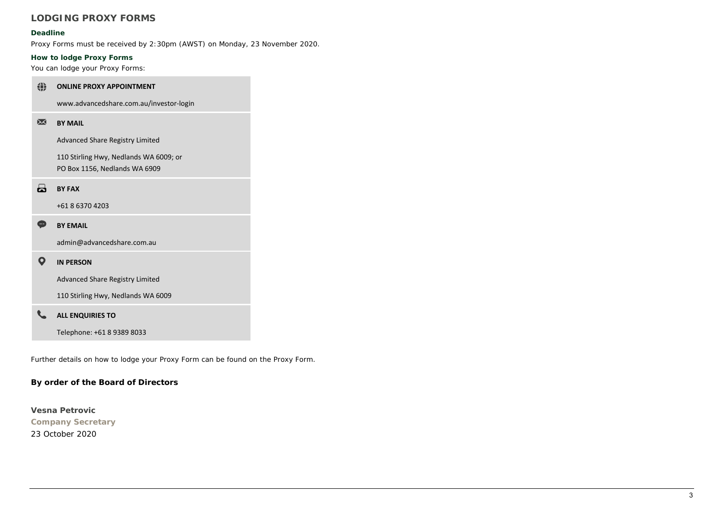## **LODGING PROXY FORMS**

#### **Deadline**

Proxy Forms must be received by 2:30pm (AWST) on Monday, 23 November 2020.

#### **How to lodge Proxy Forms**

You can lodge your Proxy Forms:

#### ◈ **ONLINE PROXY APPOINTMENT**

www.advancedshare.com.au/investor‐login

#### $\overline{\mathbf{M}}$ **BY MAIL**

Advanced Share Registry Limited

110 Stirling Hwy, Nedlands WA 6009; or PO Box 1156, Nedlands WA 6909

#### $\overline{\mathbf{a}}$ **BY FAX**

+61 8 6370 4203

#### $\bullet$ **BY EMAIL**

admin@advancedshare.com.au

#### $\bullet$ **IN PERSON**

Advanced Share Registry Limited

110 Stirling Hwy, Nedlands WA 6009

#### $\epsilon$ **ALL ENQUIRIES TO**

Telephone: +61 8 9389 8033

Further details on how to lodge your Proxy Form can be found on the Proxy Form.

#### **By order of the Board of Directors**

**Vesna Petrovic Company Secretary**  23 October 2020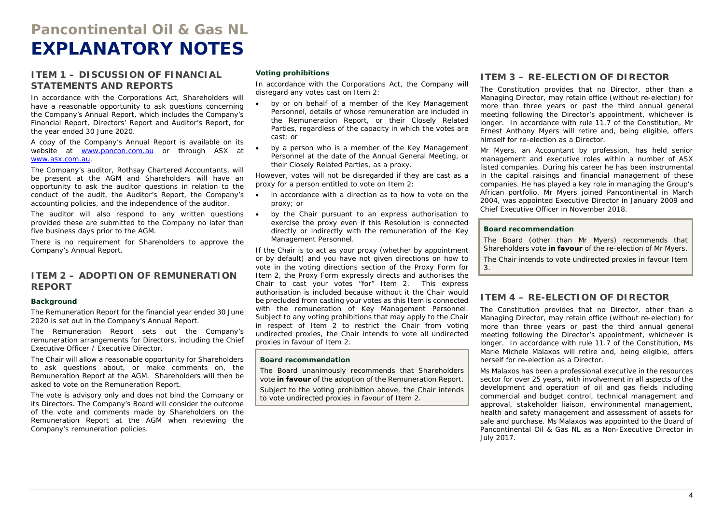## **Pancontinental Oil & Gas NL EXPLANATORY NOTES**

#### **ITEM 1 – DISCUSSION OF FINANCIAL STATEMENTS AND REPORTS**

In accordance with the Corporations Act, Shareholders will have a reasonable opportunity to ask questions concerning the Company's Annual Report, which includes the Company's Financial Report, Directors' Report and Auditor's Report, for the year ended 30 June 2020.

A copy of the Company's Annual Report is available on its website at www.pancon.com.au or through ASX at www.asx.com.au.

The Company's auditor, Rothsay Chartered Accountants, will be present at the AGM and Shareholders will have an opportunity to ask the auditor questions in relation to the conduct of the audit, the Auditor's Report, the Company's accounting policies, and the independence of the auditor.

The auditor will also respond to any written questions • provided these are submitted to the Company no later than five business days prior to the AGM.

There is no requirement for Shareholders to approve the Company's Annual Report.

#### **ITEM 2 – ADOPTION OF REMUNERATION REPORT**

#### **Background**

The Remuneration Report for the financial year ended 30 June 2020 is set out in the Company's Annual Report.

The Remuneration Report sets out the Company's remuneration arrangements for Directors, including the Chief Executive Officer / Executive Director.

The Chair will allow a reasonable opportunity for Shareholders to ask questions about, or make comments on, the Remuneration Report at the AGM. Shareholders will then be asked to vote on the Remuneration Report.

The vote is advisory only and does not bind the Company or its Directors. The Company's Board will consider the outcome of the vote and comments made by Shareholders on the Remuneration Report at the AGM when reviewing the Company's remuneration policies.

#### **Voting prohibitions**

.

In accordance with the Corporations Act, the Company will disregard any votes cast on Item 2:

- . by or on behalf of a member of the Key Management Personnel, details of whose remuneration are included in the Remuneration Report, or their Closely Related Parties, regardless of the capacity in which the votes are cast; or
- by a person who is a member of the Key Management Personnel at the date of the Annual General Meeting, or their Closely Related Parties, as a proxy.

However, votes will not be disregarded if they are cast as a proxy for a person entitled to vote on Item 2:

- $\bullet$  in accordance with a direction as to how to vote on the proxy; or
- by the Chair pursuant to an express authorisation to exercise the proxy even if this Resolution is connected directly or indirectly with the remuneration of the Key Management Personnel.

If the Chair is to act as your proxy (whether by appointment or by default) and you have not given directions on how to vote in the voting directions section of the Proxy Form for Item 2, the Proxy Form expressly directs and authorises the Chair to cast your votes "for" Item 2. This express authorisation is included because without it the Chair would be precluded from casting your votes as this Item is connected with the remuneration of Key Management Personnel. Subject to any voting prohibitions that may apply to the Chair in respect of Item 2 to restrict the Chair from voting undirected proxies, the Chair intends to vote all undirected proxies in favour of Item 2.

#### **Board recommendation**

The Board unanimously recommends that Shareholders vote **in favour** of the adoption of the Remuneration Report.

Subject to the voting prohibition above, the Chair intends to vote undirected proxies in favour of Item 2.

#### **ITEM 3 – RE-ELECTION OF DIRECTOR**

The Constitution provides that no Director, other than a Managing Director, may retain office (without re-election) for more than three years or past the third annual general meeting following the Director's appointment, whichever is longer. In accordance with rule 11.7 of the Constitution, Mr Ernest Anthony Myers will retire and, being eligible, offers himself for re-election as a Director.

Mr Myers, an Accountant by profession, has held senior management and executive roles within a number of ASX listed companies. During his career he has been instrumental in the capital raisings and financial management of these companies. He has played a key role in managing the Group's African portfolio. Mr Myers joined Pancontinental in March 2004, was appointed Executive Director in January 2009 and Chief Executive Officer in November 2018.

#### **Board recommendation**

The Board (other than Mr Myers) recommends that Shareholders vote **in favour** of the re-election of Mr Myers. The Chair intends to vote undirected proxies in favour Item 3.

#### **ITEM 4 – RE-ELECTION OF DIRECTOR**

The Constitution provides that no Director, other than a Managing Director, may retain office (without re-election) for more than three years or past the third annual general meeting following the Director's appointment, whichever is longer. In accordance with rule 11.7 of the Constitution, Ms Marie Michele Malaxos will retire and, being eligible, offers herself for re-election as a Director.

Ms Malaxos has been a professional executive in the resources sector for over 25 years, with involvement in all aspects of the development and operation of oil and gas fields including commercial and budget control, technical management and approval, stakeholder liaison, environmental management, health and safety management and assessment of assets for sale and purchase. Ms Malaxos was appointed to the Board of Pancontinental Oil & Gas NL as a Non-Executive Director in July 2017.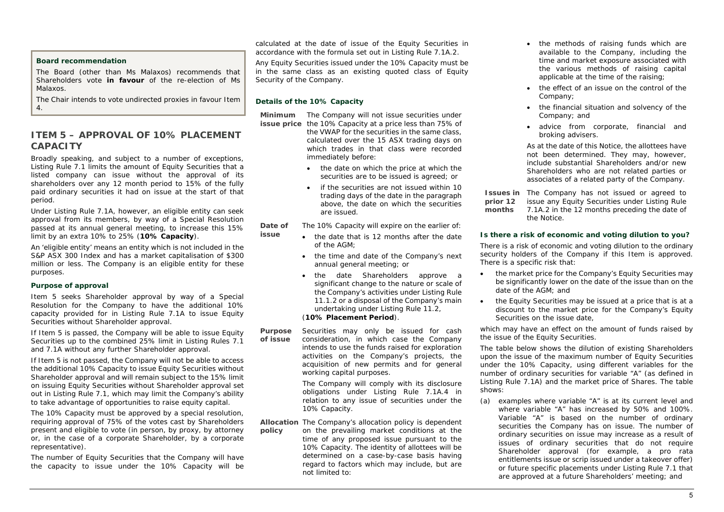#### **Board recommendation**

The Board (other than Ms Malaxos) recommends that Shareholders vote **in favour** of the re-election of Ms Malaxos.

The Chair intends to vote undirected proxies in favour Item 4.

### **ITEM 5 – APPROVAL OF 10% PLACEMENT CAPACITY**

Broadly speaking, and subject to a number of exceptions, Listing Rule 7.1 limits the amount of Equity Securities that a listed company can issue without the approval of its shareholders over any 12 month period to 15% of the fully paid ordinary securities it had on issue at the start of that period.

Under Listing Rule 7.1A, however, an eligible entity can seek approval from its members, by way of a Special Resolution passed at its annual general meeting, to increase this 15% limit by an extra 10% to 25% (**10% Capacity**).

An 'eligible entity' means an entity which is not included in the S&P ASX 300 Index and has a market capitalisation of \$300 million or less. The Company is an eligible entity for these purposes.

#### **Purpose of approval**

Item 5 seeks Shareholder approval by way of a Special Resolution for the Company to have the additional 10% capacity provided for in Listing Rule 7.1A to issue Equity Securities without Shareholder approval.

If Item 5 is passed, the Company will be able to issue Equity Securities up to the combined 25% limit in Listing Rules 7.1 and 7.1A without any further Shareholder approval.

If Item 5 is not passed, the Company will not be able to access the additional 10% Capacity to issue Equity Securities without Shareholder approval and will remain subject to the 15% limit on issuing Equity Securities without Shareholder approval set out in Listing Rule 7.1, which may limit the Company's ability to take advantage of opportunities to raise equity capital.

The 10% Capacity must be approved by a special resolution, requiring approval of 75% of the votes cast by Shareholders present and eligible to vote (in person, by proxy, by attorney or, in the case of a corporate Shareholder, by a corporate representative).

The number of Equity Securities that the Company will have the capacity to issue under the 10% Capacity will be

calculated at the date of issue of the Equity Securities in accordance with the formula set out in Listing Rule 7.1A.2.

Any Equity Securities issued under the 10% Capacity must be in the same class as an existing quoted class of Equity Security of the Company.

#### **Details of the 10% Capacity**

**issue**

- **Minimum** The Company will not issue securities under **issue price** the 10% Capacity at a price less than 75% of
	- the VWAP for the securities in the same class, calculated over the 15 ASX trading days on which trades in that class were recorded immediately before:
		- the date on which the price at which the securities are to be issued is agreed; or
		- if the securities are not issued within 10 trading days of the date in the paragraph above, the date on which the securities are issued.

**Date of** The 10% Capacity will expire on the earlier of:

- the date that is 12 months after the date of the AGM;
- the time and date of the Company's next annual general meeting; or
- the date Shareholders approve a significant change to the nature or scale of the Company's activities under Listing Rule 11.1.2 or a disposal of the Company's main undertaking under Listing Rule 11.2,

#### (**10% Placement Period**).

**Purpose of issue**Securities may only be issued for cash consideration, in which case the Company intends to use the funds raised for exploration activities on the Company's projects, the acquisition of new permits and for general working capital purposes.

> The Company will comply with its disclosure obligations under Listing Rule 7.1A.4 in relation to any issue of securities under the 10% Capacity.

**Allocation**  The Company's allocation policy is dependent **policy** on the prevailing market conditions at the time of any proposed issue pursuant to the 10% Capacity. The identity of allottees will be determined on a case-by-case basis having regard to factors which may include, but are not limited to:

- the methods of raising funds which are available to the Company, including the time and market exposure associated with the various methods of raising capital applicable at the time of the raising;
- the effect of an issue on the control of the Company;
- the financial situation and solvency of the Company; and
- advice from corporate, financial and broking advisers.

As at the date of this Notice, the allottees have not been determined. They may, however, include substantial Shareholders and/or new Shareholders who are not related parties or associates of a related party of the Company.

**Issues in**  The Company has not issued or agreed to **prior 12 months**issue any Equity Securities under Listing Rule 7.1A.2 in the 12 months preceding the date of the Notice.

#### **Is there a risk of economic and voting dilution to you?**

There is a risk of economic and voting dilution to the ordinary security holders of the Company if this Item is approved. There is a specific risk that:

- . the market price for the Company's Equity Securities may be significantly lower on the date of the issue than on the date of the AGM; and
- the Equity Securities may be issued at a price that is at a discount to the market price for the Company's Equity Securities on the issue date,

which may have an effect on the amount of funds raised by the issue of the Equity Securities.

The table below shows the dilution of existing Shareholders upon the issue of the maximum number of Equity Securities under the 10% Capacity, using different variables for the number of ordinary securities for variable "A" (as defined in Listing Rule 7.1A) and the market price of Shares. The table shows:

(a) examples where variable "A" is at its current level and where variable "A" has increased by 50% and 100%. Variable "A" is based on the number of ordinary securities the Company has on issue. The number of ordinary securities on issue may increase as a result of issues of ordinary securities that do not require Shareholder approval (for example, a pro rata entitlements issue or scrip issued under a takeover offer) or future specific placements under Listing Rule 7.1 that are approved at a future Shareholders' meeting; and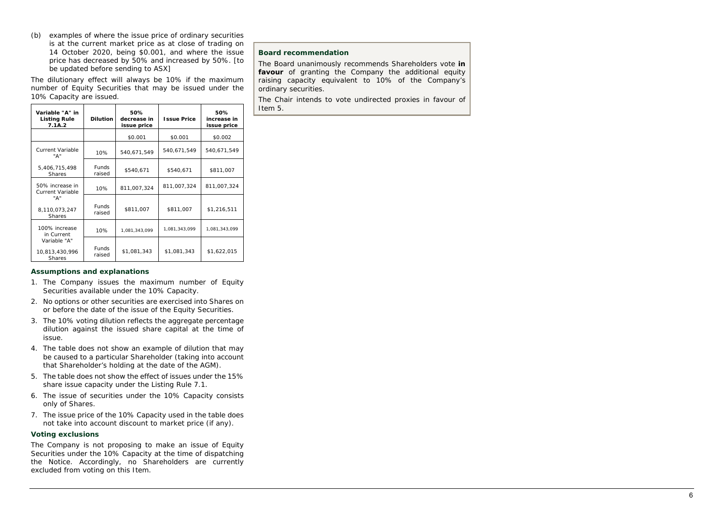(b) examples of where the issue price of ordinary securities is at the current market price as at close of trading on 14 October 2020, being \$0.001, and where the issue price has decreased by 50% and increased by 50%. [to be updated before sending to ASX]

The dilutionary effect will always be 10% if the maximum number of Equity Securities that may be issued under the 10% Capacity are issued.

| Variable "A" in<br><b>Listing Rule</b><br>7.1A.2 | <b>Dilution</b>        | 50%<br>decrease in<br>issue price | <b>Issue Price</b> | 50%<br>increase in<br>issue price |
|--------------------------------------------------|------------------------|-----------------------------------|--------------------|-----------------------------------|
|                                                  |                        | \$0.001                           | \$0.001            | \$0.002                           |
| Current Variable<br>"А"                          | 10%                    | 540,671,549                       | 540,671,549        | 540,671,549                       |
| 5,406,715,498<br><b>Shares</b>                   | <b>Funds</b><br>raised | \$540,671                         | \$540,671          | \$811,007                         |
| 50% increase in<br><b>Current Variable</b>       | 10%                    | 811.007.324                       | 811,007,324        | 811,007,324                       |
| "А"<br>8,110,073,247<br><b>Shares</b>            | <b>Funds</b><br>raised | \$811,007                         | \$811,007          | \$1,216,511                       |
| 100% increase<br>in Current                      | 10%                    | 1,081,343,099                     | 1,081,343,099      | 1,081,343,099                     |
| Variable "A"<br>10,813,430,996<br><b>Shares</b>  | <b>Funds</b><br>raised | \$1.081.343                       | \$1.081.343        | \$1,622,015                       |

#### **Assumptions and explanations**

- 1. The Company issues the maximum number of Equity Securities available under the 10% Capacity.
- 2. No options or other securities are exercised into Shares on or before the date of the issue of the Equity Securities.
- 3. The 10% voting dilution reflects the aggregate percentage dilution against the issued share capital at the time of issue.
- 4. The table does not show an example of dilution that may be caused to a particular Shareholder (taking into account that Shareholder's holding at the date of the AGM).
- 5. The table does not show the effect of issues under the 15% share issue capacity under the Listing Rule 7.1.
- 6. The issue of securities under the 10% Capacity consists only of Shares.
- 7. The issue price of the 10% Capacity used in the table does not take into account discount to market price (if any).

#### **Voting exclusions**

The Company is not proposing to make an issue of Equity Securities under the 10% Capacity at the time of dispatching the Notice. Accordingly, no Shareholders are currently excluded from voting on this Item.

#### **Board recommendation**

The Board unanimously recommends Shareholders vote **in**  favour of granting the Company the additional equity raising capacity equivalent to 10% of the Company's ordinary securities.

The Chair intends to vote undirected proxies in favour of Item 5.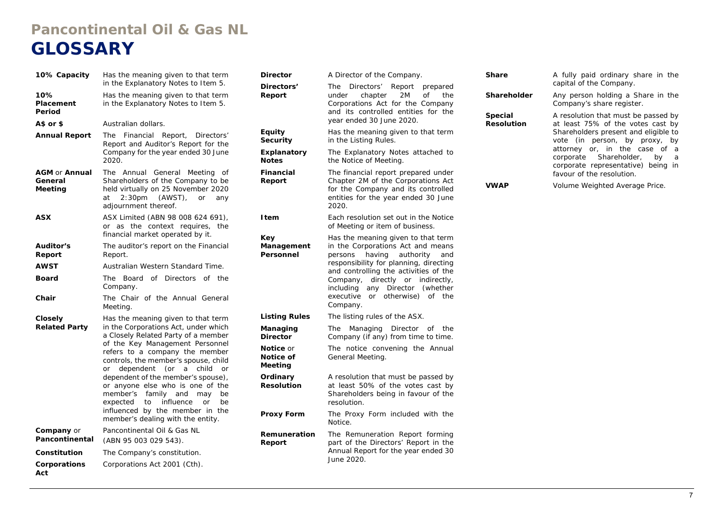## **Pancontinental Oil & Gas NL GLOSSARY**

| 10% Capacity                               | Has the meaning given to that term<br>in the Explanatory Notes to Item 5.                                                                                                                                                                                                                                                                                                                                                                                                                                     | Dire<br>Dire                                                                     |
|--------------------------------------------|---------------------------------------------------------------------------------------------------------------------------------------------------------------------------------------------------------------------------------------------------------------------------------------------------------------------------------------------------------------------------------------------------------------------------------------------------------------------------------------------------------------|----------------------------------------------------------------------------------|
| 10%<br>Placement<br>Period                 | Has the meaning given to that term<br>in the Explanatory Notes to Item 5.                                                                                                                                                                                                                                                                                                                                                                                                                                     | <b>Rep</b>                                                                       |
| A\$ or \$                                  | Australian dollars.                                                                                                                                                                                                                                                                                                                                                                                                                                                                                           |                                                                                  |
| <b>Annual Report</b>                       | Financial Report, Directors'<br>The<br>Report and Auditor's Report for the<br>Company for the year ended 30 June<br>2020.                                                                                                                                                                                                                                                                                                                                                                                     | Equi<br>Secu<br>Expl<br><b>Note</b>                                              |
| <b>AGM or Annual</b><br>General<br>Meeting | The<br>Annual<br>General<br>Meeting<br>οf<br>Shareholders of the Company to be<br>held virtually on 25 November 2020<br>2:30 <sub>pm</sub><br>(AWST),<br>at<br>or<br>any<br>adjournment thereof.                                                                                                                                                                                                                                                                                                              | Fina<br><b>Rep</b>                                                               |
| <b>ASX</b>                                 | ASX Limited (ABN 98 008 624 691),<br>or as the context requires, the<br>financial market operated by it.                                                                                                                                                                                                                                                                                                                                                                                                      | I ten<br>Key                                                                     |
| Auditor's<br>Report                        | The auditor's report on the Financial<br>Report.                                                                                                                                                                                                                                                                                                                                                                                                                                                              | Man<br>Pers                                                                      |
| <b>AWST</b>                                | Australian Western Standard Time.                                                                                                                                                                                                                                                                                                                                                                                                                                                                             |                                                                                  |
| <b>Board</b>                               | Board<br>of Directors<br>of<br>the<br>The<br>Company.                                                                                                                                                                                                                                                                                                                                                                                                                                                         |                                                                                  |
| Chair                                      | The Chair of the Annual General<br>Meeting.                                                                                                                                                                                                                                                                                                                                                                                                                                                                   |                                                                                  |
| Closely<br><b>Related Party</b>            | Has the meaning given to that term<br>in the Corporations Act, under which<br>a Closely Related Party of a member<br>of the Key Management Personnel<br>refers to a company the member<br>controls, the member's spouse, child<br>dependent (or a<br>child<br>or<br>or<br>dependent of the member's spouse),<br>or anyone else who is one of the<br>member's<br>family<br>and<br>may<br>be<br>expected<br>influence<br>to<br>or<br>be<br>influenced by the member in the<br>member's dealing with the entity. | Listi<br>Man<br>Dire<br>Noti<br>Noti<br>Mee<br>Ordi<br><b>Reso</b><br><b>Pro</b> |
| <b>Company</b> or<br>Pancontinental        | Pancontinental Oil & Gas NL<br>(ABN 95 003 029 543).                                                                                                                                                                                                                                                                                                                                                                                                                                                          | Rem<br><b>Rep</b>                                                                |
| Constitution                               | The Company's constitution.                                                                                                                                                                                                                                                                                                                                                                                                                                                                                   |                                                                                  |
| Corporations<br>Act                        | Corporations Act 2001 (Cth).                                                                                                                                                                                                                                                                                                                                                                                                                                                                                  |                                                                                  |

| Director                                                                                                       | A Director of the Company.                                                                                                                                                                                                                                                                                                                        |  |  |
|----------------------------------------------------------------------------------------------------------------|---------------------------------------------------------------------------------------------------------------------------------------------------------------------------------------------------------------------------------------------------------------------------------------------------------------------------------------------------|--|--|
| Directors'<br>Report                                                                                           | The<br>Directors' Report<br>prepared<br>chapter<br>2M<br><b>of</b><br>the<br>under<br>Corporations Act for the Company<br>and its controlled entities for the<br>year ended 30 June 2020.                                                                                                                                                         |  |  |
| <b>Equity</b><br>Security                                                                                      | Has the meaning given to that term<br>in the Listing Rules.                                                                                                                                                                                                                                                                                       |  |  |
| Explanatory<br><b>Notes</b>                                                                                    | The Explanatory Notes attached to<br>the Notice of Meeting.                                                                                                                                                                                                                                                                                       |  |  |
| Financial<br>Report                                                                                            | The financial report prepared under<br>Chapter 2M of the Corporations Act<br>for the Company and its controlled<br>entities for the year ended 30 June<br>2020.                                                                                                                                                                                   |  |  |
| l tem                                                                                                          | Each resolution set out in the Notice<br>of Meeting or item of business.                                                                                                                                                                                                                                                                          |  |  |
| Key<br>Management<br>Personnel                                                                                 | Has the meaning given to that term<br>in the Corporations Act and means<br>persons<br>having authority<br>and<br>responsibility for planning, directing<br>and controlling the activities of the<br>directly or<br>Company,<br>indirectly,<br>including<br>any Director<br>(whether<br>executive<br>otherwise)<br>of the<br><b>or</b><br>Company. |  |  |
| <b>Listing Rules</b>                                                                                           | The listing rules of the ASX.                                                                                                                                                                                                                                                                                                                     |  |  |
| The<br>Managing<br>Director<br>Managing<br>of<br>the<br><b>Director</b><br>Company (if any) from time to time. |                                                                                                                                                                                                                                                                                                                                                   |  |  |
| Notice or<br>Notice of<br>Meeting                                                                              | The notice convening the Annual<br>General Meeting.                                                                                                                                                                                                                                                                                               |  |  |
| Ordinary<br><b>Resolution</b>                                                                                  | A resolution that must be passed by<br>at least 50% of the votes cast by<br>Shareholders being in favour of the<br>resolution.                                                                                                                                                                                                                    |  |  |
| <b>Proxy Form</b>                                                                                              | The Proxy Form included with the<br>Notice.                                                                                                                                                                                                                                                                                                       |  |  |
| Remuneration<br>Report                                                                                         | The Remuneration Report forming<br>part of the Directors' Report in the<br>Annual Report for the year ended 30<br>June 2020.                                                                                                                                                                                                                      |  |  |

| d            | Share                        | A fully paid ordinary share in the<br>capital of the Company.                                           |
|--------------|------------------------------|---------------------------------------------------------------------------------------------------------|
| e<br>У       | Shareholder                  | Any person holding a Share in the<br>Company's share register.                                          |
| e            | Special<br><b>Resolution</b> | A resolution that must be passed by<br>at least 75% of the votes cast by                                |
| n            |                              | Shareholders present and eligible to<br>vote (in person, by proxy, by                                   |
| $\Omega$     |                              | attorney or, in the case of a<br>corporate Shareholder, by<br>- a<br>corporate representative) being in |
| ۶Ļ           |                              | favour of the resolution.                                                                               |
| :t<br>d<br>e | <b>VWAP</b>                  | Volume Weighted Average Price.                                                                          |
| e            |                              |                                                                                                         |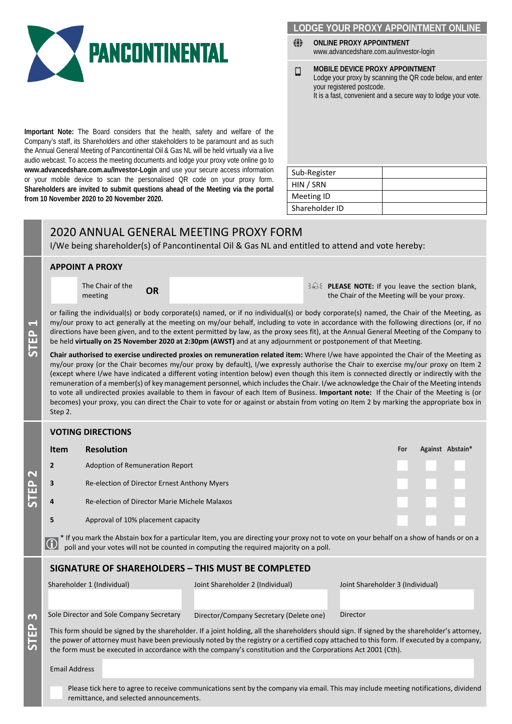

## **LODGE YOUR PROXY APPOINTMENT**

- ◈ **ONLINE PROXY APPOINTMENT**  www.advancedshare.com.au/investor-login
- **MOBILE DEVICE PROXY APPOINTMENT**   $\Box$ Lodge your proxy by scanning the QR code below, and enter your registered postcode. It is a fast, convenient and a secure way to lodge your vote.

**Important Note:** The Board considers that the health, safety and welfare of the Company's staff, its Shareholders and other stakeholders to be paramount and as such the Annual General Meeting of Pancontinental Oil & Gas NL will be held virtually via a live audio webcast. To access the meeting documents and lodge your proxy vote online go to **www.advancedshare.com.au/Investor-Login** and use your secure access information or your mobile device to scan the personalised QR code on your proxy form. **Shareholders are invited to submit questions ahead of the Meeting via the portal from 10 November 2020 to 20 November 2020.** 

| Sub-Register   |  |
|----------------|--|
| HIN / SRN      |  |
| Meeting ID     |  |
| Shareholder ID |  |

## 2020 ANNUAL GENERAL MEETING PROXY FORM

I/We being shareholder(s) of Pancontinental Oil & Gas NL and entitled to attend and vote hereby:

#### **APPOINT A PROXY**

<u>Բ</u> **1**

**STEP**

The Chair of the

**The Chair of the OR OR PLEASE NOTE:** If you leave the section blank, the Chair of the Meeting will be your proxy. the Chair of the Meeting will be your proxy.

or failing the individual(s) or body corporate(s) named, or if no individual(s) or body corporate(s) named, the Chair of the Meeting, as my/our proxy to act generally at the meeting on my/our behalf, including to vote in accordance with the following directions (or, if no directions have been given, and to the extent permitted by law, as the proxy sees fit), at the Annual General Meeting of the Company to be held **virtually on 25 November 2020 at 2:30pm (AWST)** and at any adjournment or postponement of that Meeting.

**Chair authorised to exercise undirected proxies on remuneration related item:** Where I/we have appointed the Chair of the Meeting as my/our proxy (or the Chair becomes my/our proxy by default), I/we expressly authorise the Chair to exercise my/our proxy on Item 2 (except where I/we have indicated a different voting intention below) even though this item is connected directly or indirectly with the remuneration of a member(s) of key management personnel, which includes the Chair. I/we acknowledge the Chair of the Meeting intends to vote all undirected proxies available to them in favour of each Item of Business. **Important note:** If the Chair of the Meeting is (or becomes) your proxy, you can direct the Chair to vote for or against or abstain from voting on Item 2 by marking the appropriate box in Step 2.

#### **VOTING DIRECTIONS**

|                                     | <b>Item</b>                                                                                                                                                                                                                                                                                                                                                                                                 | <b>Resolution</b>                             |                                         |                                  | For |  | Against Abstain* |
|-------------------------------------|-------------------------------------------------------------------------------------------------------------------------------------------------------------------------------------------------------------------------------------------------------------------------------------------------------------------------------------------------------------------------------------------------------------|-----------------------------------------------|-----------------------------------------|----------------------------------|-----|--|------------------|
|                                     | $\overline{2}$                                                                                                                                                                                                                                                                                                                                                                                              | Adoption of Remuneration Report               |                                         |                                  |     |  |                  |
|                                     | 3                                                                                                                                                                                                                                                                                                                                                                                                           | Re-election of Director Ernest Anthony Myers  |                                         |                                  |     |  |                  |
|                                     | 4                                                                                                                                                                                                                                                                                                                                                                                                           | Re-election of Director Marie Michele Malaxos |                                         |                                  |     |  |                  |
|                                     | 5                                                                                                                                                                                                                                                                                                                                                                                                           | Approval of 10% placement capacity            |                                         |                                  |     |  |                  |
|                                     | * If you mark the Abstain box for a particular Item, you are directing your proxy not to vote on your behalf on a show of hands or on a poll and your votes will not be counted in computing the required majority on a poll.<br>$\bigcirc$                                                                                                                                                                 |                                               |                                         |                                  |     |  |                  |
|                                     | <b>SIGNATURE OF SHAREHOLDERS - THIS MUST BE COMPLETED</b>                                                                                                                                                                                                                                                                                                                                                   |                                               |                                         |                                  |     |  |                  |
| 3<br>$\mathbf{\hat{H}}$<br><u>に</u> |                                                                                                                                                                                                                                                                                                                                                                                                             | Shareholder 1 (Individual)                    | Joint Shareholder 2 (Individual)        | Joint Shareholder 3 (Individual) |     |  |                  |
|                                     |                                                                                                                                                                                                                                                                                                                                                                                                             | Sole Director and Sole Company Secretary      | Director/Company Secretary (Delete one) | Director                         |     |  |                  |
|                                     | This form should be signed by the shareholder. If a joint holding, all the shareholders should sign. If signed by the shareholder's attorney,<br>the power of attorney must have been previously noted by the registry or a certified copy attached to this form. If executed by a company,<br>the form must be executed in accordance with the company's constitution and the Corporations Act 2001 (Cth). |                                               |                                         |                                  |     |  |                  |

Email Address

Please tick here to agree to receive communications sent by the company via email. This may include meeting notifications, dividend remittance, and selected announcements.